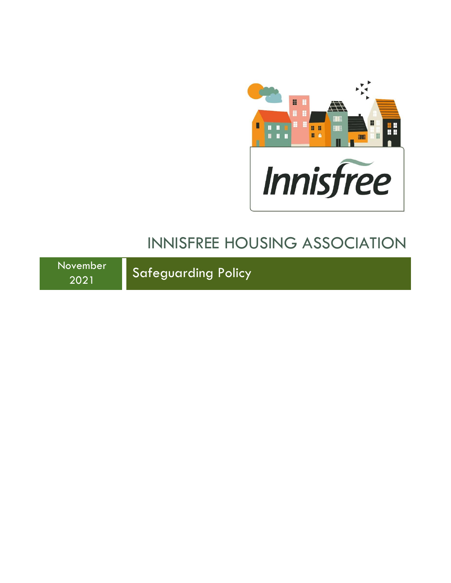

# INNISFREE HOUSING ASSOCIATION

November

Syember Safeguarding Policy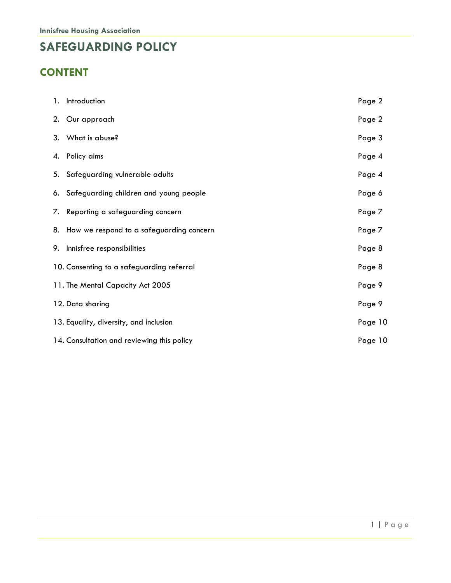# **SAFEGUARDING POLICY**

# **CONTENT**

| 1. Introduction                             | Page 2  |
|---------------------------------------------|---------|
| 2. Our approach                             | Page 2  |
| 3. What is abuse?                           | Page 3  |
| 4. Policy aims                              | Page 4  |
| 5. Safeguarding vulnerable adults           | Page 4  |
| 6. Safeguarding children and young people   | Page 6  |
| 7. Reporting a safeguarding concern         | Page 7  |
| 8. How we respond to a safeguarding concern | Page 7  |
| 9. Innisfree responsibilities               | Page 8  |
| 10. Consenting to a safeguarding referral   | Page 8  |
| 11. The Mental Capacity Act 2005            | Page 9  |
| 12. Data sharing                            | Page 9  |
| 13. Equality, diversity, and inclusion      | Page 10 |
| 14. Consultation and reviewing this policy  | Page 10 |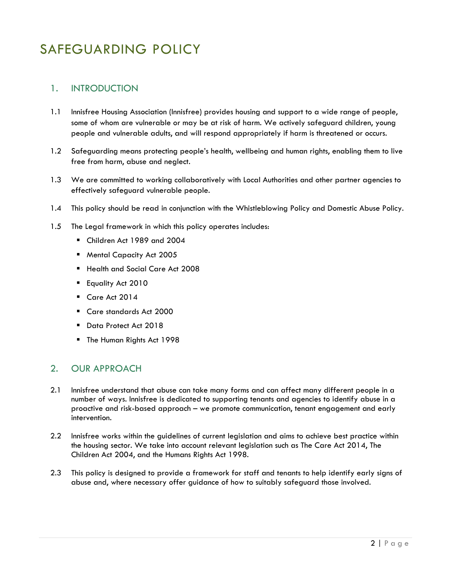# SAFEGUARDING POLICY

### 1. INTRODUCTION

- 1.1 Innisfree Housing Association (Innisfree) provides housing and support to a wide range of people, some of whom are vulnerable or may be at risk of harm. We actively safeguard children, young people and vulnerable adults, and will respond appropriately if harm is threatened or occurs.
- 1.2 Safeguarding means protecting people's health, wellbeing and human rights, enabling them to live free from harm, abuse and neglect.
- 1.3 We are committed to working collaboratively with Local Authorities and other partner agencies to effectively safeguard vulnerable people.
- 1.4 This policy should be read in conjunction with the Whistleblowing Policy and Domestic Abuse Policy.
- 1.5 The Legal framework in which this policy operates includes:
	- Children Act 1989 and 2004
	- Mental Capacity Act 2005
	- Health and Social Care Act 2008
	- **Equality Act 2010**
	- Care Act 2014
	- Care standards Act 2000
	- Data Protect Act 2018
	- The Human Rights Act 1998

#### 2. OUR APPROACH

- 2.1 Innisfree understand that abuse can take many forms and can affect many different people in a number of ways. Innisfree is dedicated to supporting tenants and agencies to identify abuse in a proactive and risk-based approach – we promote communication, tenant engagement and early intervention.
- 2.2 Innisfree works within the guidelines of current legislation and aims to achieve best practice within the housing sector. We take into account relevant legislation such as The Care Act 2014, The Children Act 2004, and the Humans Rights Act 1998.
- 2.3 This policy is designed to provide a framework for staff and tenants to help identify early signs of abuse and, where necessary offer guidance of how to suitably safeguard those involved.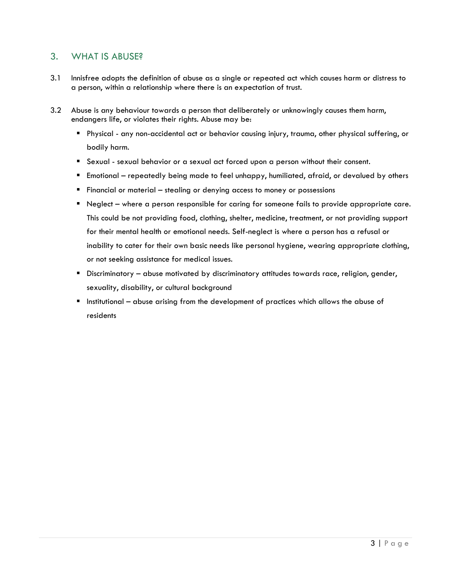#### 3. WHAT IS ABUSE?

- 3.1 Innisfree adopts the definition of abuse as a single or repeated act which causes harm or distress to a person, within a relationship where there is an expectation of trust.
- 3.2 Abuse is any behaviour towards a person that deliberately or unknowingly causes them harm, endangers life, or violates their rights. Abuse may be:
	- Physical any non-accidental act or behavior causing injury, trauma, other physical suffering, or bodily harm.
	- **E** Sexual sexual behavior or a sexual act forced upon a person without their consent.
	- Emotional repeatedly being made to feel unhappy, humiliated, afraid, or devalued by others
	- Financial or material stealing or denying access to money or possessions
	- Neglect where a person responsible for caring for someone fails to provide appropriate care. This could be not providing food, clothing, shelter, medicine, treatment, or not providing support for their mental health or emotional needs. Self-neglect is where a person has a refusal or inability to cater for their own basic needs like personal hygiene, wearing appropriate clothing, or not seeking assistance for medical issues.
	- **E** Discriminatory abuse motivated by discriminatory attitudes towards race, religion, gender, sexuality, disability, or cultural background
	- Institutional abuse arising from the development of practices which allows the abuse of residents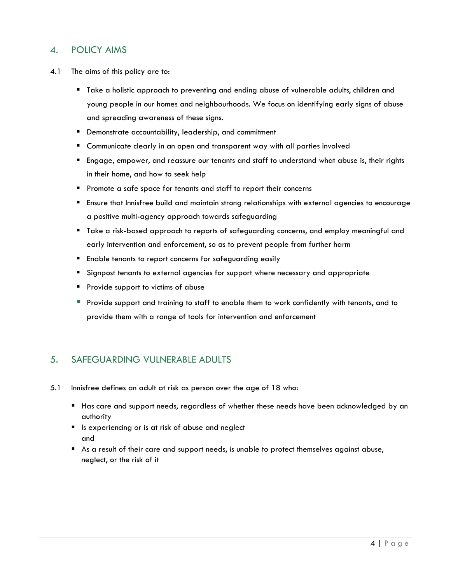### 4. POLICY AIMS

- 4.1 The aims of this policy are to:
	- Take a holistic approach to preventing and ending abuse of vulnerable adults, children and young people in our homes and neighbourhoods. We focus on identifying early signs of abuse and spreading awareness of these signs.
	- Demonstrate accountability, leadership, and commitment
	- **E** Communicate clearly in an open and transparent way with all parties involved
	- Engage, empower, and reassure our tenants and staff to understand what abuse is, their rights in their home, and how to seek help
	- Promote a safe space for tenants and staff to report their concerns
	- Ensure that Innisfree build and maintain strong relationships with external agencies to encourage a positive multi-agency approach towards safeguarding
	- Take a risk-based approach to reports of safeguarding concerns, and employ meaningful and early intervention and enforcement, so as to prevent people from further harm
	- Enable tenants to report concerns for safeguarding easily
	- Signpost tenants to external agencies for support where necessary and appropriate
	- **Provide support to victims of abuse**
	- **•** Provide support and training to staff to enable them to work confidently with tenants, and to provide them with a range of tools for intervention and enforcement

#### 5. SAFEGUARDING VULNERABLE ADULTS

- 5.1 Innisfree defines an adult at risk as person over the age of 18 who:
	- Has care and support needs, regardless of whether these needs have been acknowledged by an authority
	- Is experiencing or is at risk of abuse and neglect and
	- As a result of their care and support needs, is unable to protect themselves against abuse, neglect, or the risk of it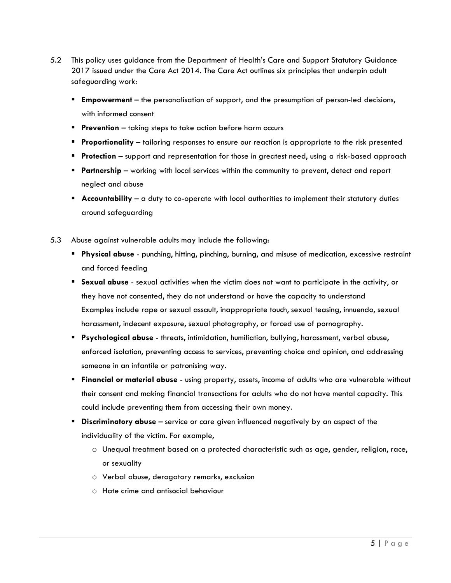- 5.2 This policy uses guidance from the Department of Health's Care and Support Statutory Guidance 2017 issued under the Care Act 2014. The Care Act outlines six principles that underpin adult safeguarding work:
	- **Empowerment** the personalisation of support, and the presumption of person-led decisions, with informed consent
	- **Prevention** taking steps to take action before harm occurs
	- **Proportionality** tailoring responses to ensure our reaction is appropriate to the risk presented
	- **Protection** support and representation for those in greatest need, using a risk-based approach
	- **Partnership** working with local services within the community to prevent, detect and report neglect and abuse
	- **Accountability** a duty to co-operate with local authorities to implement their statutory duties around safeguarding
- 5.3 Abuse against vulnerable adults may include the following:
	- **Physical abuse** punching, hitting, pinching, burning, and misuse of medication, excessive restraint and forced feeding
	- **Sexual abuse** sexual activities when the victim does not want to participate in the activity, or they have not consented, they do not understand or have the capacity to understand Examples include rape or sexual assault, inappropriate touch, sexual teasing, innuendo, sexual harassment, indecent exposure, sexual photography, or forced use of pornography.
	- **Psychological abuse** threats, intimidation, humiliation, bullying, harassment, verbal abuse, enforced isolation, preventing access to services, preventing choice and opinion, and addressing someone in an infantile or patronising way.
	- **Financial or material abuse** using property, assets, income of adults who are vulnerable without their consent and making financial transactions for adults who do not have mental capacity. This could include preventing them from accessing their own money.
	- **Discriminatory abuse** service or care given influenced negatively by an aspect of the individuality of the victim. For example,
		- o Unequal treatment based on a protected characteristic such as age, gender, religion, race, or sexuality
		- o Verbal abuse, derogatory remarks, exclusion
		- o Hate crime and antisocial behaviour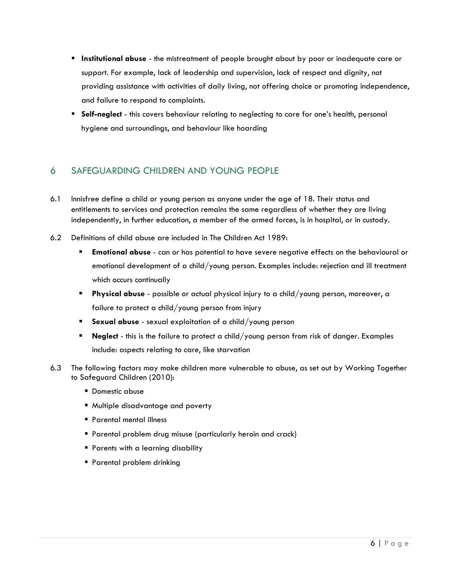- **E** Institutional abuse the mistreatment of people brought about by poor or inadequate care or support. For example, lack of leadership and supervision, lack of respect and dignity, not providing assistance with activities of daily living, not offering choice or promoting independence, and failure to respond to complaints.
- **E** Self-neglect this covers behaviour relating to neglecting to care for one's health, personal hygiene and surroundings, and behaviour like hoarding

#### 6 SAFEGUARDING CHILDREN AND YOUNG PEOPLE

- 6.1 Innisfree define a child or young person as anyone under the age of 18. Their status and entitlements to services and protection remains the same regardless of whether they are living independently, in further education, a member of the armed forces, is in hospital, or in custody.
- 6.2 Definitions of child abuse are included in The Children Act 1989:
	- **Emotional abuse** can or has potential to have severe negative effects on the behavioural or emotional development of a child/young person. Examples include: rejection and ill treatment which occurs continually
	- **Physical abuse** possible or actual physical injury to a child/young person, moreover, a failure to protect a child/young person from injury
	- **Sexual abuse** sexual exploitation of a child/young person
	- **Neglect** this is the failure to protect a child/young person from risk of danger. Examples include: aspects relating to care, like starvation
- 6.3 The following factors may make children more vulnerable to abuse, as set out by Working Together to Safeguard Children (2010):
	- Domestic abuse
	- Multiple disadvantage and poverty
	- Parental mental illness
	- **Parental problem drug misuse (particularly heroin and crack)**
	- **Parents with a learning disability**
	- Parental problem drinking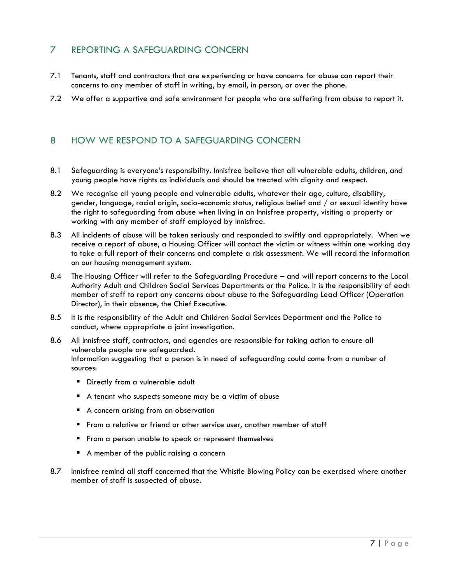## 7 REPORTING A SAFEGUARDING CONCERN

- 7.1 Tenants, staff and contractors that are experiencing or have concerns for abuse can report their concerns to any member of staff in writing, by email, in person, or over the phone.
- 7.2 We offer a supportive and safe environment for people who are suffering from abuse to report it.

#### 8 HOW WE RESPOND TO A SAFEGUARDING CONCERN

- 8.1 Safeguarding is everyone's responsibility. Innisfree believe that all vulnerable adults, children, and young people have rights as individuals and should be treated with dignity and respect.
- 8.2 We recognise all young people and vulnerable adults, whatever their age, culture, disability, gender, language, racial origin, socio-economic status, religious belief and / or sexual identity have the right to safeguarding from abuse when living in an Innisfree property, visiting a property or working with any member of staff employed by Innisfree.
- 8.3 All incidents of abuse will be taken seriously and responded to swiftly and appropriately. When we receive a report of abuse, a Housing Officer will contact the victim or witness within one working day to take a full report of their concerns and complete a risk assessment. We will record the information on our housing management system.
- 8.4 The Housing Officer will refer to the Safeguarding Procedure and will report concerns to the Local Authority Adult and Children Social Services Departments or the Police. It is the responsibility of each member of staff to report any concerns about abuse to the Safeguarding Lead Officer (Operation Director), in their absence, the Chief Executive.
- 8.5 It is the responsibility of the Adult and Children Social Services Department and the Police to conduct, where appropriate a joint investigation.
- 8.6 All Innisfree staff, contractors, and agencies are responsible for taking action to ensure all vulnerable people are safeguarded. Information suggesting that a person is in need of safeguarding could come from a number of sources:
	- **E** Directly from a vulnerable adult
	- A tenant who suspects someone may be a victim of abuse
	- A concern arising from an observation
	- **From a relative or friend or other service user, another member of staff**
	- From a person unable to speak or represent themselves
	- A member of the public raising a concern
- 8.7 Innisfree remind all staff concerned that the Whistle Blowing Policy can be exercised where another member of staff is suspected of abuse.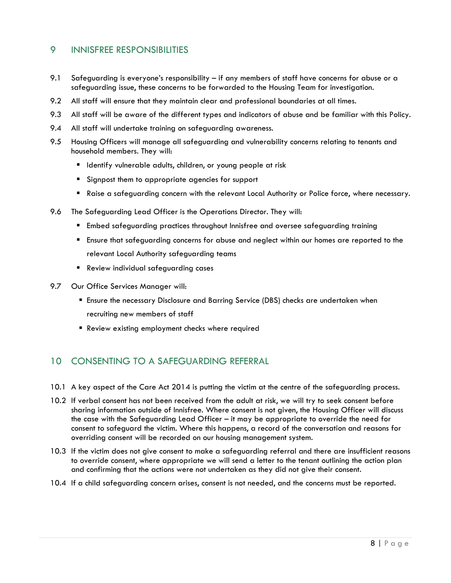#### 9 INNISFREE RESPONSIBILITIES

- 9.1 Safeguarding is everyone's responsibility if any members of staff have concerns for abuse or a safeguarding issue, these concerns to be forwarded to the Housing Team for investigation.
- 9.2 All staff will ensure that they maintain clear and professional boundaries at all times.
- 9.3 All staff will be aware of the different types and indicators of abuse and be familiar with this Policy.
- 9.4 All staff will undertake training on safeguarding awareness.
- 9.5 Housing Officers will manage all safeguarding and vulnerability concerns relating to tenants and household members. They will:
	- **E** Identify vulnerable adults, children, or young people at risk
	- Signpost them to appropriate agencies for support
	- Raise a safeguarding concern with the relevant Local Authority or Police force, where necessary.
- 9.6 The Safeguarding Lead Officer is the Operations Director. They will:
	- Embed safeguarding practices throughout Innisfree and oversee safeguarding training
	- Ensure that safeguarding concerns for abuse and neglect within our homes are reported to the relevant Local Authority safeguarding teams
	- Review individual safeguarding cases
- 9.7 Our Office Services Manager will:
	- **E** Ensure the necessary Disclosure and Barring Service (DBS) checks are undertaken when recruiting new members of staff
	- Review existing employment checks where required

#### 10 CONSENTING TO A SAFEGUARDING REFERRAL

- 10.1 A key aspect of the Care Act 2014 is putting the victim at the centre of the safeguarding process.
- 10.2 If verbal consent has not been received from the adult at risk, we will try to seek consent before sharing information outside of Innisfree. Where consent is not given, the Housing Officer will discuss the case with the Safeguarding Lead Officer – it may be appropriate to override the need for consent to safeguard the victim. Where this happens, a record of the conversation and reasons for overriding consent will be recorded on our housing management system.
- 10.3 If the victim does not give consent to make a safeguarding referral and there are insufficient reasons to override consent, where appropriate we will send a letter to the tenant outlining the action plan and confirming that the actions were not undertaken as they did not give their consent.
- 10.4 If a child safeguarding concern arises, consent is not needed, and the concerns must be reported.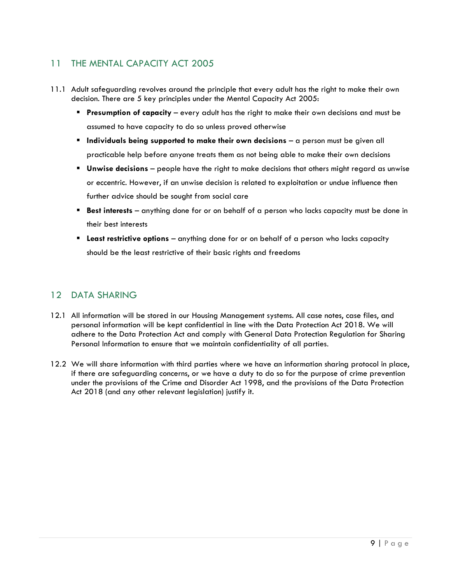# 11 THE MENTAL CAPACITY ACT 2005

- 11.1 Adult safeguarding revolves around the principle that every adult has the right to make their own decision. There are 5 key principles under the Mental Capacity Act 2005:
	- **Presumption of capacity** every adult has the right to make their own decisions and must be assumed to have capacity to do so unless proved otherwise
	- **Individuals being supported to make their own decisions** a person must be given all practicable help before anyone treats them as not being able to make their own decisions
	- **Unwise decisions** people have the right to make decisions that others might regard as unwise or eccentric. However, if an unwise decision is related to exploitation or undue influence then further advice should be sought from social care
	- **Best interests**  anything done for or on behalf of a person who lacks capacity must be done in their best interests
	- **Least restrictive options**  anything done for or on behalf of a person who lacks capacity should be the least restrictive of their basic rights and freedoms

## 12 DATA SHARING

- 12.1 All information will be stored in our Housing Management systems. All case notes, case files, and personal information will be kept confidential in line with the Data Protection Act 2018. We will adhere to the Data Protection Act and comply with General Data Protection Regulation for Sharing Personal Information to ensure that we maintain confidentiality of all parties.
- 12.2 We will share information with third parties where we have an information sharing protocol in place, if there are safeguarding concerns, or we have a duty to do so for the purpose of crime prevention under the provisions of the Crime and Disorder Act 1998, and the provisions of the Data Protection Act 2018 (and any other relevant legislation) justify it.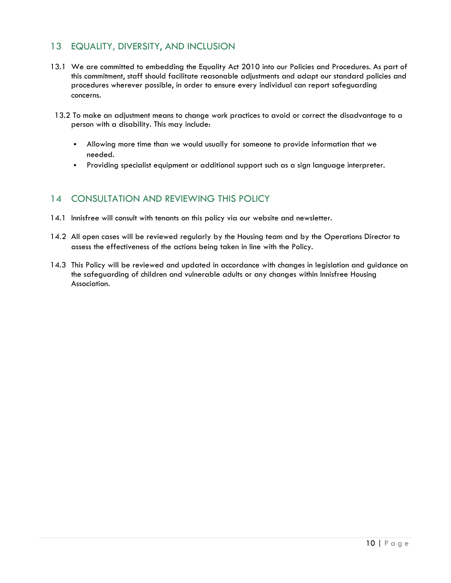#### 13 EQUALITY, DIVERSITY, AND INCLUSION

- 13.1 We are committed to embedding the Equality Act 2010 into our Policies and Procedures. As part of this commitment, staff should facilitate reasonable adjustments and adapt our standard policies and procedures wherever possible, in order to ensure every individual can report safeguarding concerns.
- 13.2 To make an adjustment means to change work practices to avoid or correct the disadvantage to a person with a disability. This may include:
	- Allowing more time than we would usually for someone to provide information that we needed.
	- Providing specialist equipment or additional support such as a sign language interpreter.

#### 14 CONSULTATION AND REVIEWING THIS POLICY

- 14.1 Innisfree will consult with tenants on this policy via our website and newsletter.
- 14.2 All open cases will be reviewed regularly by the Housing team and by the Operations Director to assess the effectiveness of the actions being taken in line with the Policy.
- 14.3 This Policy will be reviewed and updated in accordance with changes in legislation and guidance on the safeguarding of children and vulnerable adults or any changes within Innisfree Housing Association.